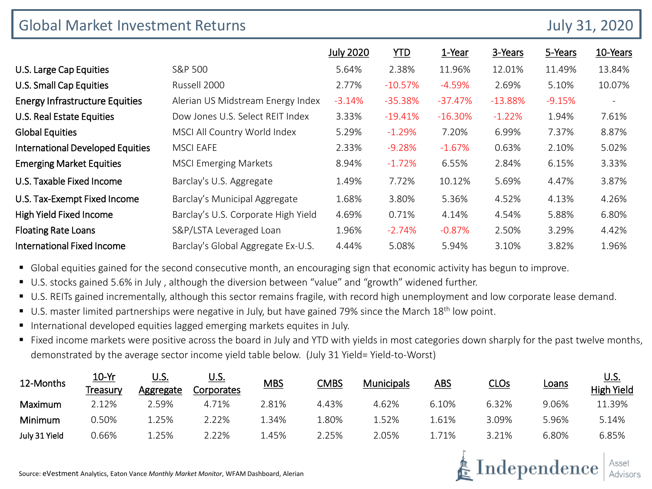| <b>Global Market Investment Returns</b> |                                     |                  |            |           |           |          | <b>July 31, 2020</b> |  |
|-----------------------------------------|-------------------------------------|------------------|------------|-----------|-----------|----------|----------------------|--|
|                                         |                                     | <b>July 2020</b> | <u>YTD</u> | 1-Year    | 3-Years   | 5-Years  | 10-Years             |  |
| U.S. Large Cap Equities                 | S&P 500                             | 5.64%            | 2.38%      | 11.96%    | 12.01%    | 11.49%   | 13.84%               |  |
| U.S. Small Cap Equities                 | Russell 2000                        | 2.77%            | $-10.57%$  | $-4.59%$  | 2.69%     | 5.10%    | 10.07%               |  |
| <b>Energy Infrastructure Equities</b>   | Alerian US Midstream Energy Index   | $-3.14%$         | $-35.38%$  | $-37.47%$ | $-13.88%$ | $-9.15%$ |                      |  |
| U.S. Real Estate Equities               | Dow Jones U.S. Select REIT Index    | 3.33%            | $-19.41%$  | $-16.30%$ | $-1.22%$  | 1.94%    | 7.61%                |  |
| <b>Global Equities</b>                  | MSCI All Country World Index        | 5.29%            | $-1.29%$   | 7.20%     | 6.99%     | 7.37%    | 8.87%                |  |
| <b>International Developed Equities</b> | <b>MSCI EAFE</b>                    | 2.33%            | $-9.28%$   | $-1.67\%$ | 0.63%     | 2.10%    | 5.02%                |  |
| <b>Emerging Market Equities</b>         | <b>MSCI Emerging Markets</b>        | 8.94%            | $-1.72%$   | 6.55%     | 2.84%     | 6.15%    | 3.33%                |  |
| U.S. Taxable Fixed Income               | Barclay's U.S. Aggregate            | 1.49%            | 7.72%      | 10.12%    | 5.69%     | 4.47%    | 3.87%                |  |
| U.S. Tax-Exempt Fixed Income            | Barclay's Municipal Aggregate       | 1.68%            | 3.80%      | 5.36%     | 4.52%     | 4.13%    | 4.26%                |  |
| High Yield Fixed Income                 | Barclay's U.S. Corporate High Yield | 4.69%            | 0.71%      | 4.14%     | 4.54%     | 5.88%    | 6.80%                |  |
| <b>Floating Rate Loans</b>              | S&P/LSTA Leveraged Loan             | 1.96%            | $-2.74%$   | $-0.87%$  | 2.50%     | 3.29%    | 4.42%                |  |
| <b>International Fixed Income</b>       | Barclay's Global Aggregate Ex-U.S.  | 4.44%            | 5.08%      | 5.94%     | 3.10%     | 3.82%    | 1.96%                |  |

Global equities gained for the second consecutive month, an encouraging sign that economic activity has begun to improve.

- U.S. stocks gained 5.6% in July, although the diversion between "value" and "growth" widened further.
- U.S. REITs gained incrementally, although this sector remains fragile, with record high unemployment and low corporate lease demand.
- $\blacksquare$  U.S. master limited partnerships were negative in July, but have gained 79% since the March 18<sup>th</sup> low point.
- International developed equities lagged emerging markets equites in July.
- Fixed income markets were positive across the board in July and YTD with yields in most categories down sharply for the past twelve months, demonstrated by the average sector income yield table below. (July 31 Yield= Yield-to-Worst)

| 12-Months     | <u>10-Yr</u><br>Treasurv | U.S.<br>Aggregate | <u>U.S.</u><br>Corporates | <u>MBS</u> | <b>CMBS</b> | <b>Municipals</b> | ABS   | CLOs  | <b>Loans</b> | <u>U.S.</u><br><b>High Yield</b> |
|---------------|--------------------------|-------------------|---------------------------|------------|-------------|-------------------|-------|-------|--------------|----------------------------------|
| Maximum       | 2.12%                    | ?.59%             | 4.71%                     | 2.81%      | 4.43%       | 4.62%             | 6.10% | 6.32% | 9.06%        | 11.39%                           |
| Minimum       | 0.50%                    | 25%               | 2.22%                     | .34%       | .80%        | 1.52%             | 1.61% | 3.09% | 5.96%        | 5.14%                            |
| July 31 Yield | 0.66%                    | .25%              | ?.22%                     | .45%       | 2.25%       | 2.05%             | l.71% | 3.21% | 6.80%        | 6.85%                            |

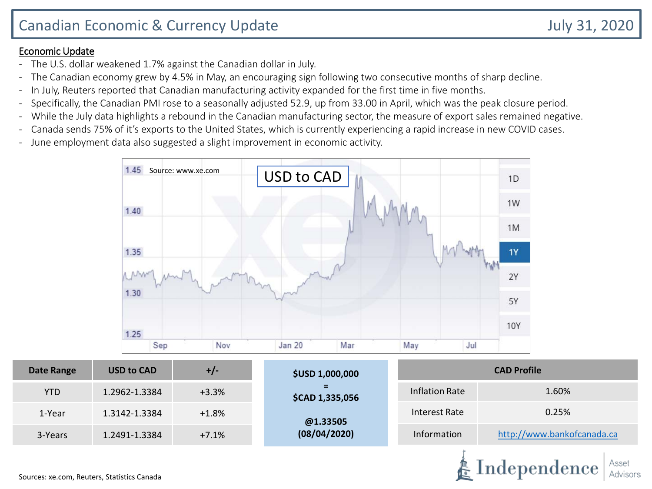#### Economic Update

- The U.S. dollar weakened 1.7% against the Canadian dollar in July.
- The Canadian economy grew by 4.5% in May, an encouraging sign following two consecutive months of sharp decline.
- In July, Reuters reported that Canadian manufacturing activity expanded for the first time in five months.
- Specifically, the Canadian PMI rose to a seasonally adjusted 52.9, up from 33.00 in April, which was the peak closure period.
- While the July data highlights a rebound in the Canadian manufacturing sector, the measure of export sales remained negative.
- Canada sends 75% of it's exports to the United States, which is currently experiencing a rapid increase in new COVID cases.
- June employment data also suggested a slight improvement in economic activity.



| <b>Date Range</b> | <b>USD to CAD</b> | +/-     | <b>CAD Profile</b><br><b>\$USD 1,000,000</b> |                      |                            |  |  |
|-------------------|-------------------|---------|----------------------------------------------|----------------------|----------------------------|--|--|
| <b>YTD</b>        | 1.2962-1.3384     | $+3.3%$ | Ξ.<br>\$CAD 1,335,056                        | Inflation Rate       | 1.60%                      |  |  |
| 1-Year            | 1.3142-1.3384     | $+1.8%$ | @1.33505                                     | <b>Interest Rate</b> | 0.25%                      |  |  |
| 3-Years           | 1.2491-1.3384     | $+7.1%$ | (08/04/2020)                                 | Information          | http://www.bankofcanada.ca |  |  |
|                   |                   |         |                                              |                      |                            |  |  |

Independence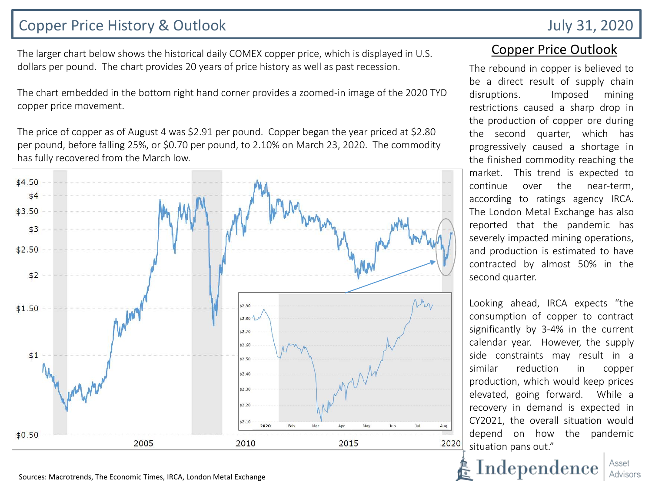## Copper Price History & Outlook July 31, 2020

The larger chart below shows the historical daily COMEX copper price, which is displayed in U.S. dollars per pound. The chart provides 20 years of price history as well as past recession.

The chart embedded in the bottom right hand corner provides a zoomed-in image of the 2020 TYD copper price movement.

The price of copper as of August 4 was \$2.91 per pound. Copper began the year priced at \$2.80 per pound, before falling 25%, or \$0.70 per pound, to 2.10% on March 23, 2020. The commodity has fully recovered from the March low.



### Copper Price Outlook

The rebound in copper is believed to be a direct result of supply chain disruptions. Imposed mining restrictions caused a sharp drop in the production of copper ore during the second quarter, which has progressively caused a shortage in the finished commodity reaching the market. This trend is expected to continue over the near-term, according to ratings agency IRCA. The London Metal Exchange has also reported that the pandemic has severely impacted mining operations, and production is estimated to have contracted by almost 50% in the second quarter.

Looking ahead, IRCA expects "the consumption of copper to contract significantly by 3-4% in the current calendar year. However, the supply side constraints may result in a similar reduction in copper production, which would keep prices elevated, going forward. While a recovery in demand is expected in CY2021, the overall situation would depend on how the pandemic situation pans out."